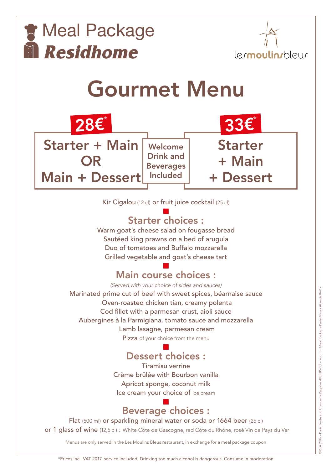